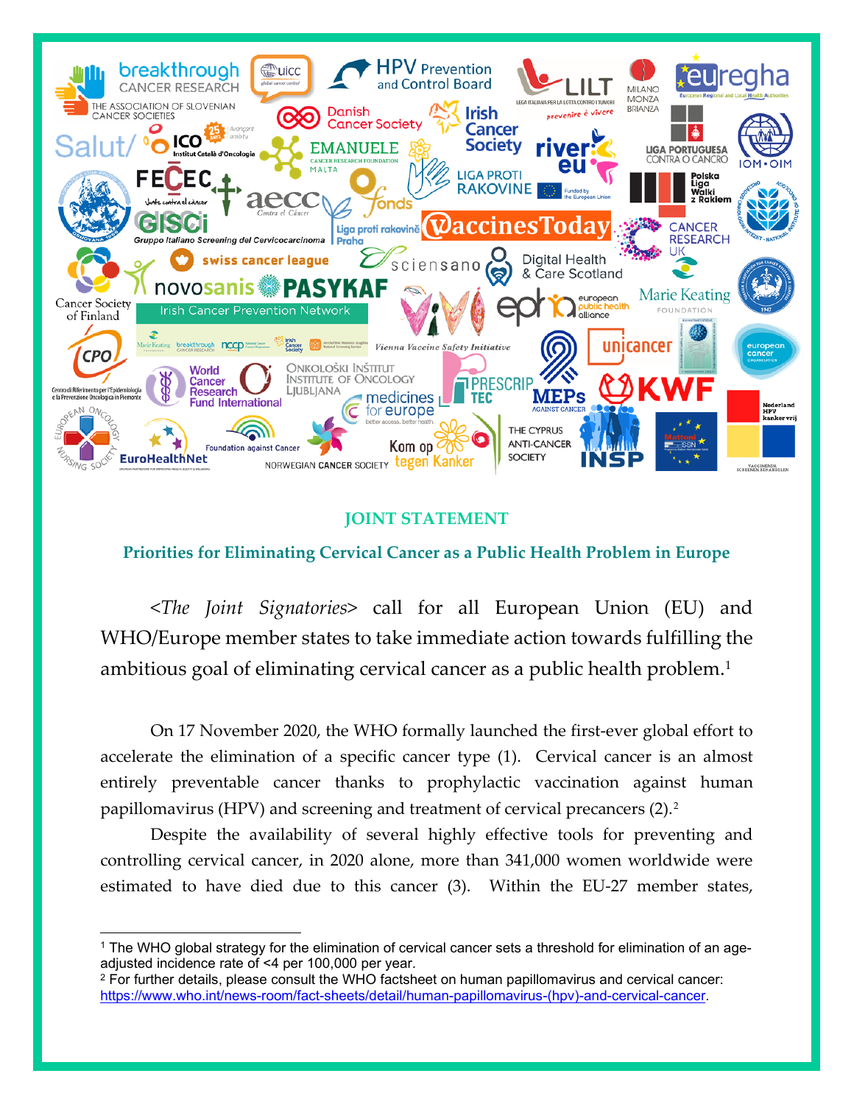

# **JOINT STATEMENT**

# **Priorities for Eliminating Cervical Cancer as a Public Health Problem in Europe**

<*The Joint Signatories*> call for all European Union (EU) and WHO/Europe member states to take immediate action towards fulfilling the ambitious goal of eliminating cervical cancer as a public health problem.[1](#page-0-0)

On 17 November 2020, the WHO formally launched the first-ever global effort to accelerate the elimination of a specific cancer type (1). Cervical cancer is an almost entirely preventable cancer thanks to prophylactic vaccination against human papillomavirus (HPV) and screening and treatment of cervical precancers (2).[2](#page-0-1) 

Despite the availability of several highly effective tools for preventing and controlling cervical cancer, in 2020 alone, more than 341,000 women worldwide were estimated to have died due to this cancer (3). Within the EU-27 member states,

<span id="page-0-0"></span><sup>1</sup> The WHO global strategy for the elimination of cervical cancer sets a threshold for elimination of an ageadjusted incidence rate of <4 per 100,000 per year.

<span id="page-0-1"></span><sup>&</sup>lt;sup>2</sup> For further details, please consult the WHO factsheet on human papillomavirus and cervical cancer: [https://www.who.int/news-room/fact-sheets/detail/human-papillomavirus-\(hpv\)-and-cervical-cancer.](https://www.who.int/news-room/fact-sheets/detail/human-papillomavirus-(hpv)-and-cervical-cancer)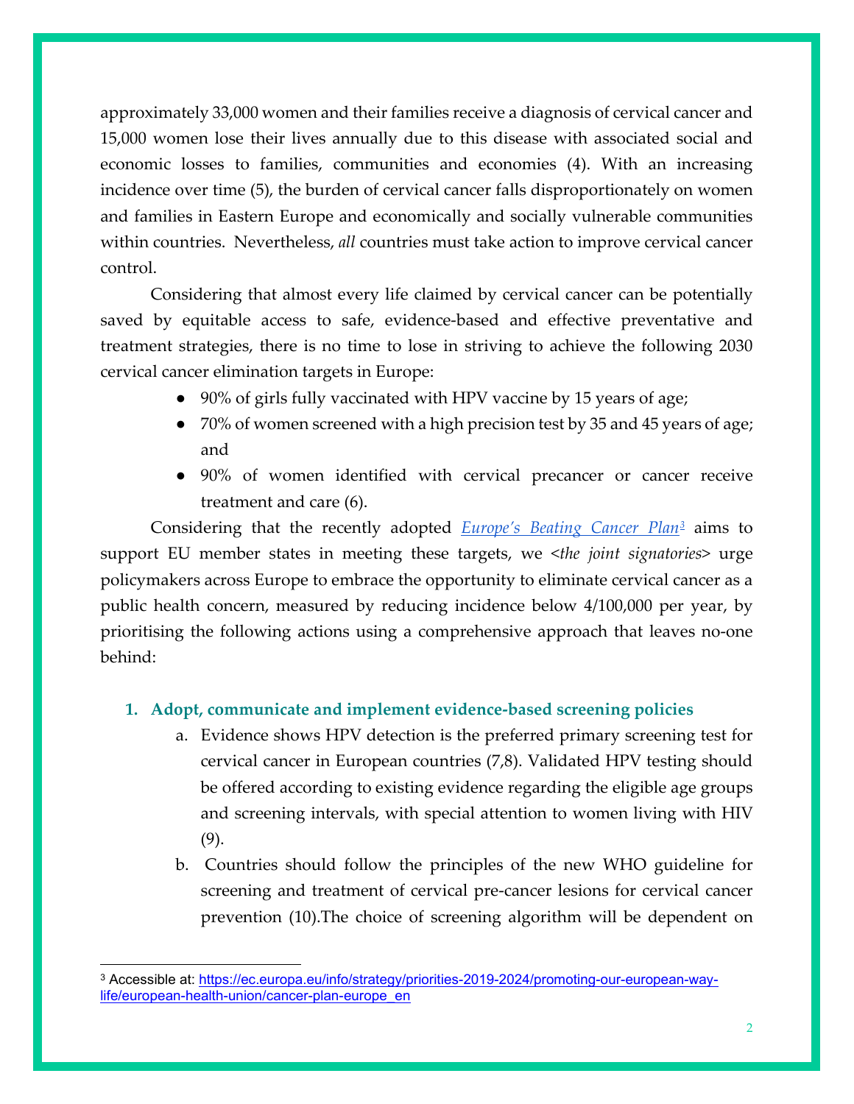approximately 33,000 women and their families receive a diagnosis of cervical cancer and 15,000 women lose their lives annually due to this disease with associated social and economic losses to families, communities and economies (4). With an increasing incidence over time (5), the burden of cervical cancer falls disproportionately on women and families in Eastern Europe and economically and socially vulnerable communities within countries. Nevertheless, *all* countries must take action to improve cervical cancer control.

Considering that almost every life claimed by cervical cancer can be potentially saved by equitable access to safe, evidence-based and effective preventative and treatment strategies, there is no time to lose in striving to achieve the following 2030 cervical cancer elimination targets in Europe:

- 90% of girls fully vaccinated with HPV vaccine by 15 years of age;
- 70% of women screened with a high precision test by 35 and 45 years of age; and
- 90% of women identified with cervical precancer or cancer receive treatment and care (6).

Considering that the recently adopted *Europe's Beating Cancer Plan[3](#page-1-0)* aims to support EU member states in meeting these targets, we <*the joint signatories*> urge policymakers across Europe to embrace the opportunity to eliminate cervical cancer as a public health concern, measured by reducing incidence below 4/100,000 per year, by prioritising the following actions using a comprehensive approach that leaves no-one behind:

### **1. Adopt, communicate and implement evidence-based screening policies**

- a. Evidence shows HPV detection is the preferred primary screening test for cervical cancer in European countries (7,8). Validated HPV testing should be offered according to existing evidence regarding the eligible age groups and screening intervals, with special attention to women living with HIV (9).
- b. Countries should follow the principles of the new WHO guideline for screening and treatment of cervical pre-cancer lesions for cervical cancer prevention (10).The choice of screening algorithm will be dependent on

<span id="page-1-0"></span><sup>&</sup>lt;sup>3</sup> Accessible at: [https://ec.europa.eu/info/strategy/priorities-2019-2024/promoting-our-european-way](https://ec.europa.eu/info/strategy/priorities-2019-2024/promoting-our-european-way-life/european-health-union/cancer-plan-europe_en)[life/european-health-union/cancer-plan-europe\\_en](https://ec.europa.eu/info/strategy/priorities-2019-2024/promoting-our-european-way-life/european-health-union/cancer-plan-europe_en)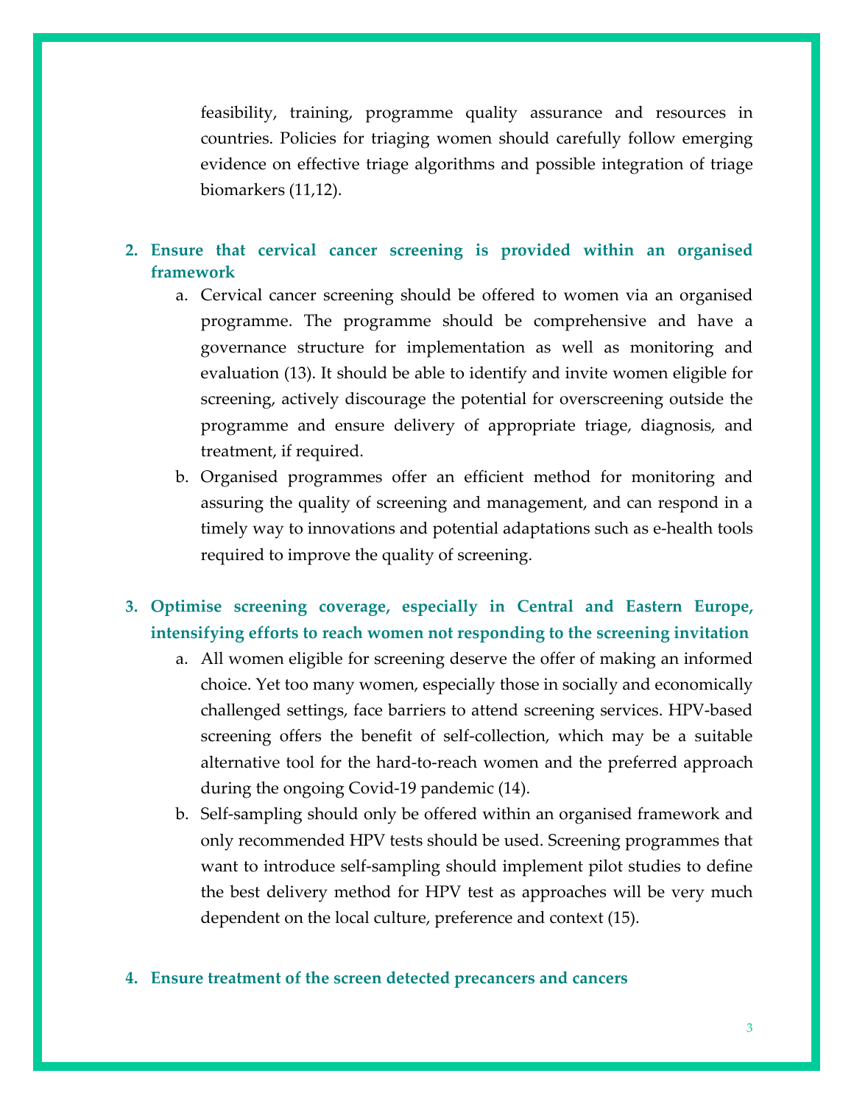feasibility, training, programme quality assurance and resources in countries. Policies for triaging women should carefully follow emerging evidence on effective triage algorithms and possible integration of triage biomarkers (11,12).

## **2. Ensure that cervical cancer screening is provided within an organised framework**

- a. Cervical cancer screening should be offered to women via an organised programme. The programme should be comprehensive and have a governance structure for implementation as well as monitoring and evaluation (13). It should be able to identify and invite women eligible for screening, actively discourage the potential for overscreening outside the programme and ensure delivery of appropriate triage, diagnosis, and treatment, if required.
- b. Organised programmes offer an efficient method for monitoring and assuring the quality of screening and management, and can respond in a timely way to innovations and potential adaptations such as e-health tools required to improve the quality of screening.

## **3. Optimise screening coverage, especially in Central and Eastern Europe, intensifying efforts to reach women not responding to the screening invitation**

- a. All women eligible for screening deserve the offer of making an informed choice. Yet too many women, especially those in socially and economically challenged settings, face barriers to attend screening services. HPV-based screening offers the benefit of self-collection, which may be a suitable alternative tool for the hard-to-reach women and the preferred approach during the ongoing Covid-19 pandemic (14).
- b. Self-sampling should only be offered within an organised framework and only recommended HPV tests should be used. Screening programmes that want to introduce self-sampling should implement pilot studies to define the best delivery method for HPV test as approaches will be very much dependent on the local culture, preference and context (15).

#### **4. Ensure treatment of the screen detected precancers and cancers**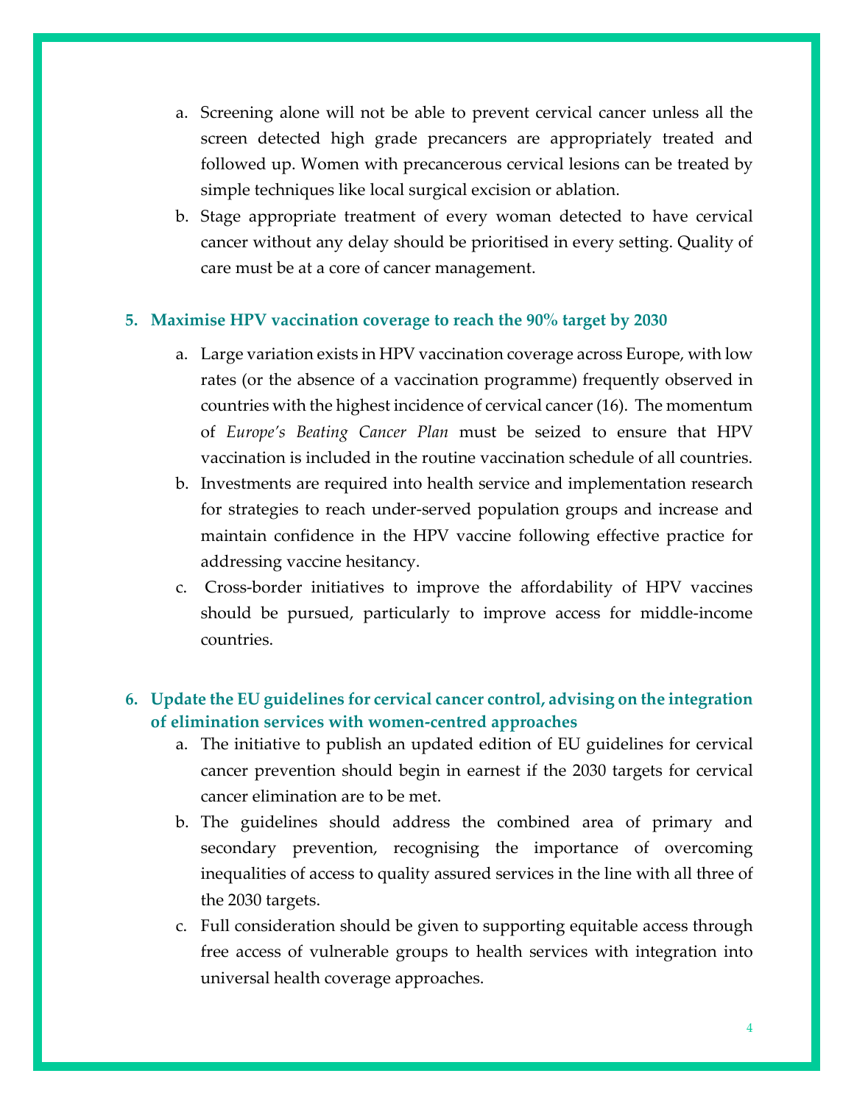- a. Screening alone will not be able to prevent cervical cancer unless all the screen detected high grade precancers are appropriately treated and followed up. Women with precancerous cervical lesions can be treated by simple techniques like local surgical excision or ablation.
- b. Stage appropriate treatment of every woman detected to have cervical cancer without any delay should be prioritised in every setting. Quality of care must be at a core of cancer management.

#### **5. Maximise HPV vaccination coverage to reach the 90% target by 2030**

- a. Large variation exists in HPV vaccination coverage across Europe, with low rates (or the absence of a vaccination programme) frequently observed in countries with the highest incidence of cervical cancer(16). The momentum of *Europe's Beating Cancer Plan* must be seized to ensure that HPV vaccination is included in the routine vaccination schedule of all countries.
- b. Investments are required into health service and implementation research for strategies to reach under-served population groups and increase and maintain confidence in the HPV vaccine following effective practice for addressing vaccine hesitancy.
- c. Cross-border initiatives to improve the affordability of HPV vaccines should be pursued, particularly to improve access for middle-income countries.

## **6. Update the EU guidelines for cervical cancer control, advising on the integration of elimination services with women-centred approaches**

- a. The initiative to publish an updated edition of EU guidelines for cervical cancer prevention should begin in earnest if the 2030 targets for cervical cancer elimination are to be met.
- b. The guidelines should address the combined area of primary and secondary prevention, recognising the importance of overcoming inequalities of access to quality assured services in the line with all three of the 2030 targets.
- c. Full consideration should be given to supporting equitable access through free access of vulnerable groups to health services with integration into universal health coverage approaches.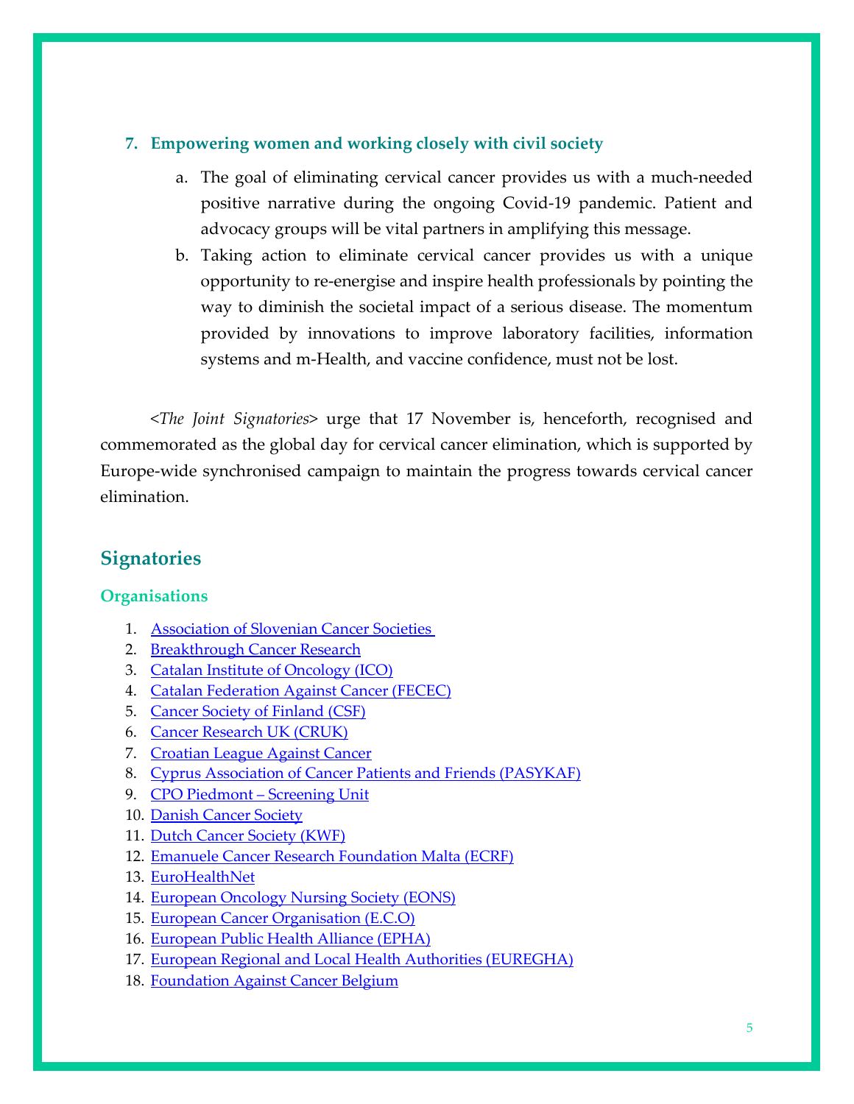### **7. Empowering women and working closely with civil society**

- a. The goal of eliminating cervical cancer provides us with a much-needed positive narrative during the ongoing Covid-19 pandemic. Patient and advocacy groups will be vital partners in amplifying this message.
- b. Taking action to eliminate cervical cancer provides us with a unique opportunity to re-energise and inspire health professionals by pointing the way to diminish the societal impact of a serious disease. The momentum provided by innovations to improve laboratory facilities, information systems and m-Health, and vaccine confidence, must not be lost.

<*The Joint Signatories*> urge that 17 November is, henceforth, recognised and commemorated as the global day for cervical cancer elimination, which is supported by Europe-wide synchronised campaign to maintain the progress towards cervical cancer elimination.

# **Signatories**

### **Organisations**

- 1. [Association of Slovenian Cancer Societies](http://www.protiraku.si/)
- 2. [Breakthrough Cancer Research](https://www.breakthroughcancerresearch.ie/)
- 3. [Catalan Institute of Oncology \(ICO\)](http://ico.gencat.cat/en/inici/index.html)
- 4. [Catalan Federation Against Cancer \(FECEC\)](https://www.juntscontraelcancer.cat/)
- 5. [Cancer Society of Finland \(CSF\)](https://www.cancersociety.fi/)
- 6. [Cancer Research UK \(CRUK\)](https://www.cancerresearchuk.org/)
- 7. [Croatian League Against Cancer](http://hlpr.hr/)
- 8. [Cyprus Association of Cancer Patients and Friends \(PASYKAF\)](https://pasykaf.org/en/home-page/)
- 9. [CPO Piedmont –](https://www.cpo.it/en/) Screening Unit
- 10. [Danish Cancer Society](https://www.cancer.dk/)
- 11. [Dutch Cancer Society \(KWF\)](https://www.kwf.nl/)
- 12. [Emanuele Cancer Research Foundation Malta \(ECRF\)](https://ecrfmalta.com/)
- 13. [EuroHealthNet](https://eurohealthnet.eu/)
- 14. [European Oncology Nursing Society \(EONS\)](https://cancernurse.eu/)
- 15. [European Cancer Organisation](https://www.europeancancer.org/) (E.C.O)
- 16. [European Public Health Alliance \(EPHA\)](https://epha.org/)
- 17. [European Regional and Local Health Authorities \(EUREGHA\)](http://www.euregha.net/)
- 18. [Foundation Against Cancer Belgium](https://www.cancer.be/)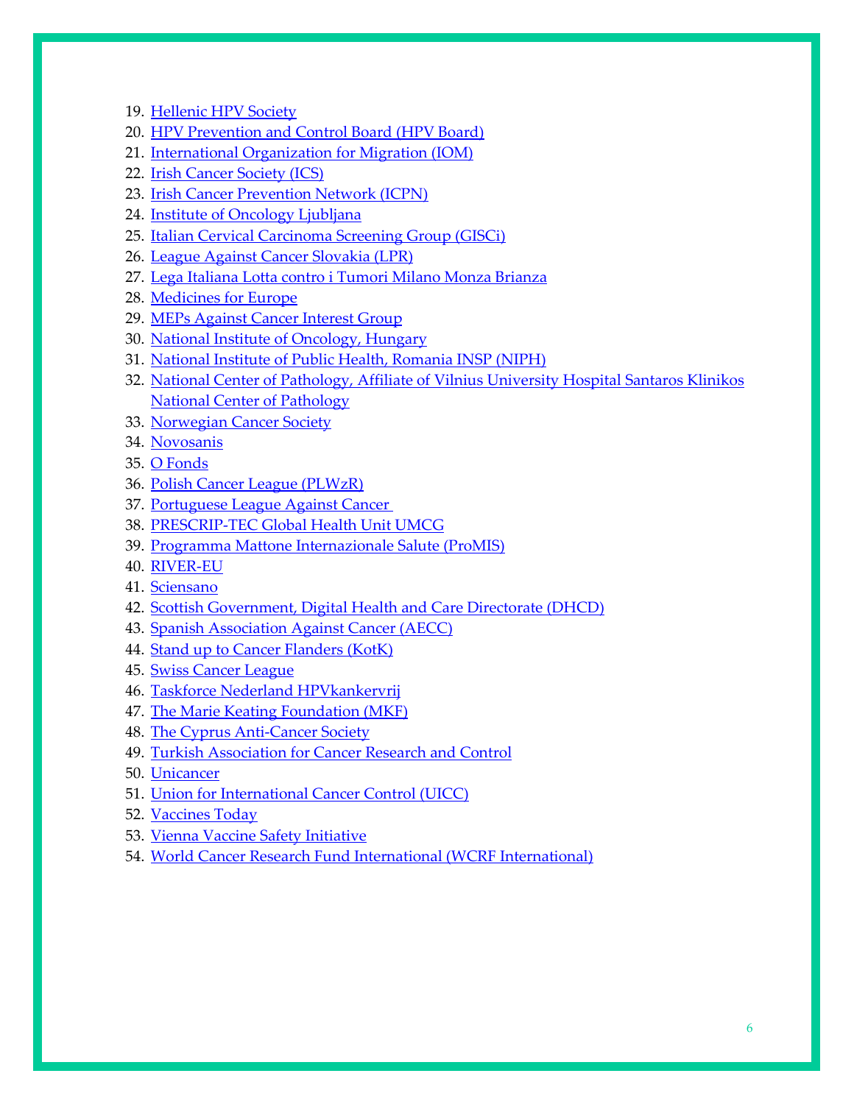- 19. [Hellenic HPV Society](https://www.hpvsociety.gr/)
- 20. [HPV Prevention and Control Board \(HPV Board\)](https://www.uantwerpen.be/en/projects/hpv-prevention-and-control-board/)
- 21. [International Organization for Migration \(IOM\)](https://www.iom.int/)
- 22. [Irish Cancer Society \(ICS\)](https://www.cancer.ie/)
- 23. [Irish Cancer Prevention Network \(ICPN\)](https://www.hse.ie/eng/services/list/5/cancer/prevention/cancer-prevention-information.html)
- 24. [Institute of Oncology Ljubljana](http://onko-i.si/eng)
- 25. [Italian Cervical Carcinoma Screening Group \(GISCi\)](https://www.gisci.it/)
- 26. [League Against Cancer Slovakia \(LPR\)](https://www.lpr.sk/)
- 27. [Lega Italiana Lotta contro i Tumori Milano Monza Brianza](https://www.legatumori.mi.it/)
- 28. [Medicines for Europe](https://www.medicinesforeurope.com/)
- 29. [MEPs Against Cancer Interest Group](https://www.europeancancerleagues.org/meps-against-cancer-about-meps-against-cancer-2/)
- 30. [National Institute of Oncology, Hungary](https://onkol.hu/?lang=en)
- 31. [National Institute of Public Health, Romania INSP \(NIPH\)](https://insp.gov.ro/)
- 32. [National Center of Pathology, Affiliate of Vilnius University Hospital Santaros Klinikos](https://vpc.lt/en/)  [National Center of Pathology](https://vpc.lt/en/)
- 33. [Norwegian Cancer Society](https://kreftforeningen.no/en/)
- 34. [Novosanis](https://novosanis.com/)
- 35. [O Fonds](https://ofonds.lv/)
- 36. [Polish Cancer League \(PLWzR\)](https://ligawalkizrakiem.pl/)
- 37. [Portuguese League Against Cancer](https://www.ligacontracancro.pt/)
- 38. [PRESCRIP-TEC Global Health Unit UMCG](http://www.prescrip-tec.org/)
- 39. [Programma Mattone Internazionale Salute \(ProMIS\)](https://www.promisalute.it/servizi/notizie/notizie_homepage.aspx)
- 40. [RIVER-EU](https://twitter.com/rivereuproject)
- 41. [Sciensano](https://www.sciensano.be/en)
- 42. [Scottish Government, Digital Health and Care Directorate \(DHCD\)](https://tec.scot/)
- 43. [Spanish Association Against Cancer](https://www.aecc.es/es) (AECC)
- 44. [Stand up to Cancer Flanders \(KotK\)](https://www.komoptegenkanker.be/)
- 45. [Swiss Cancer League](https://www.liguecancer.ch/)
- 46. [Taskforce Nederland HPVkankervrij](https://www.erasmusmc.nl/nl-nl/artikelen/nederland-moet-meer-doen-om-hpv-kanker-te-voorkomen)
- 47. [The Marie Keating Foundation \(MKF\)](https://www.mariekeating.ie/)
- 48. [The Cyprus Anti-Cancer Society](https://www.anticancersociety.org.cy/el/page/home)
- 49. [Turkish Association for Cancer Research and](http://www.turkkanser.org/) [Control](http://www.turkkanser.org/)
- 50. Unicancer
- 51. [Union for International Cancer Control \(UICC\)](https://www.uicc.org/)
- 52. [Vaccines Today](https://www.vaccinestoday.eu/)
- 53. [Vienna Vaccine Safety Initiative](https://www.vi-vi.org/)
- 54. [World Cancer Research Fund International \(WCRF International\)](https://www.wcrf.org/)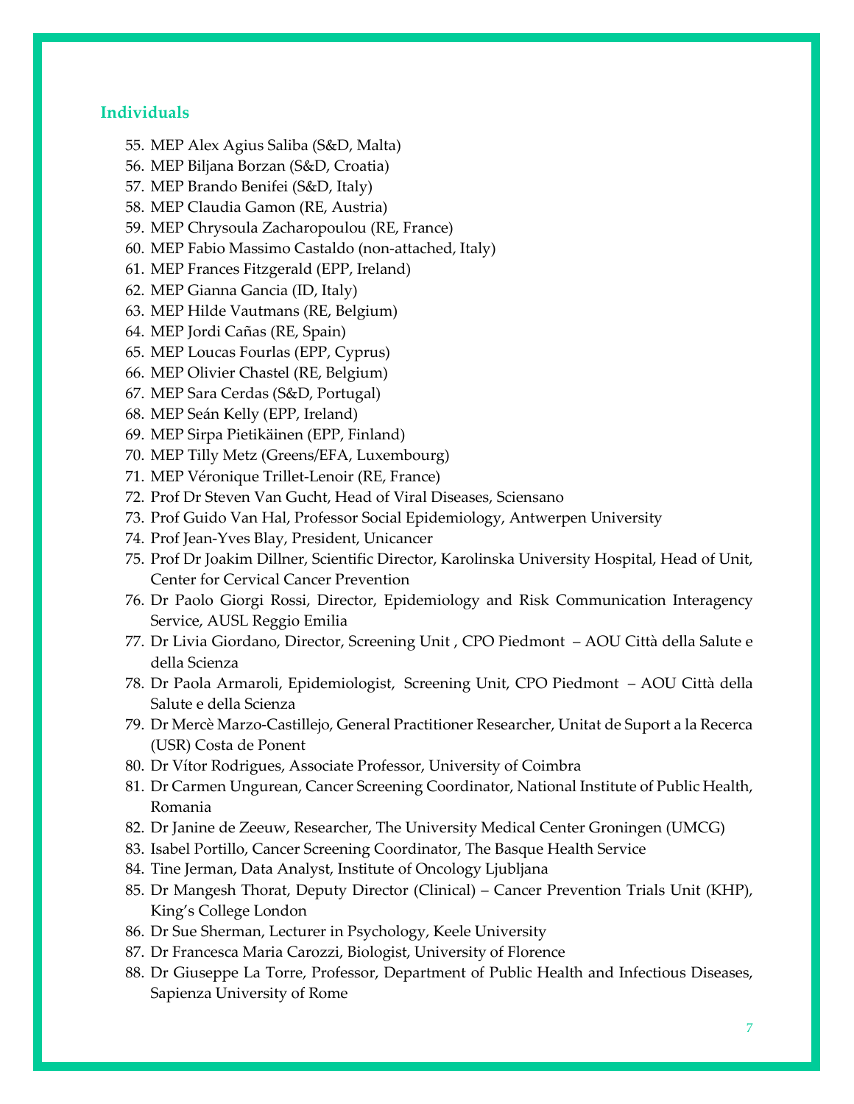#### **Individuals**

- 55. MEP Alex Agius Saliba (S&D, Malta)
- 56. MEP Biljana Borzan (S&D, Croatia)
- 57. MEP Brando Benifei (S&D, Italy)
- 58. MEP Claudia Gamon (RE, Austria)
- 59. MEP Chrysoula Zacharopoulou (RE, France)
- 60. MEP Fabio Massimo Castaldo (non-attached, Italy)
- 61. MEP Frances Fitzgerald (EPP, Ireland)
- 62. MEP Gianna Gancia (ID, Italy)
- 63. MEP Hilde Vautmans (RE, Belgium)
- 64. MEP Jordi Cañas (RE, Spain)
- 65. MEP Loucas Fourlas (EPP, Cyprus)
- 66. MEP Olivier Chastel (RE, Belgium)
- 67. MEP Sara Cerdas (S&D, Portugal)
- 68. MEP Seán Kelly (EPP, Ireland)
- 69. MEP Sirpa Pietikäinen (EPP, Finland)
- 70. MEP Tilly Metz (Greens/EFA, Luxembourg)
- 71. MEP Véronique Trillet-Lenoir (RE, France)
- 72. Prof Dr Steven Van Gucht, Head of Viral Diseases, Sciensano
- 73. Prof Guido Van Hal, Professor Social Epidemiology, Antwerpen University
- 74. Prof Jean-Yves Blay, President, Unicancer
- 75. Prof Dr Joakim Dillner, Scientific Director, Karolinska University Hospital, Head of Unit, Center for Cervical Cancer Prevention
- 76. Dr Paolo Giorgi Rossi, Director, Epidemiology and Risk Communication Interagency Service, AUSL Reggio Emilia
- 77. Dr Livia Giordano, Director, Screening Unit , CPO Piedmont AOU Città della Salute e della Scienza
- 78. Dr Paola Armaroli, Epidemiologist, Screening Unit, CPO Piedmont AOU Città della Salute e della Scienza
- 79. Dr Mercè Marzo-Castillejo, General Practitioner Researcher, Unitat de Suport a la Recerca (USR) Costa de Ponent
- 80. Dr Vítor Rodrigues, Associate Professor, University of Coimbra
- 81. Dr Carmen Ungurean, Cancer Screening Coordinator, National Institute of Public Health, Romania
- 82. Dr Janine de Zeeuw, Researcher, The University Medical Center Groningen (UMCG)
- 83. Isabel Portillo, Cancer Screening Coordinator, The Basque Health Service
- 84. Tine Jerman, Data Analyst, Institute of Oncology Ljubljana
- 85. Dr Mangesh Thorat, Deputy Director (Clinical) Cancer Prevention Trials Unit (KHP), King's College London
- 86. Dr Sue Sherman, Lecturer in Psychology, Keele University
- 87. Dr Francesca Maria Carozzi, Biologist, University of Florence
- 88. Dr Giuseppe La Torre, Professor, Department of Public Health and Infectious Diseases, Sapienza University of Rome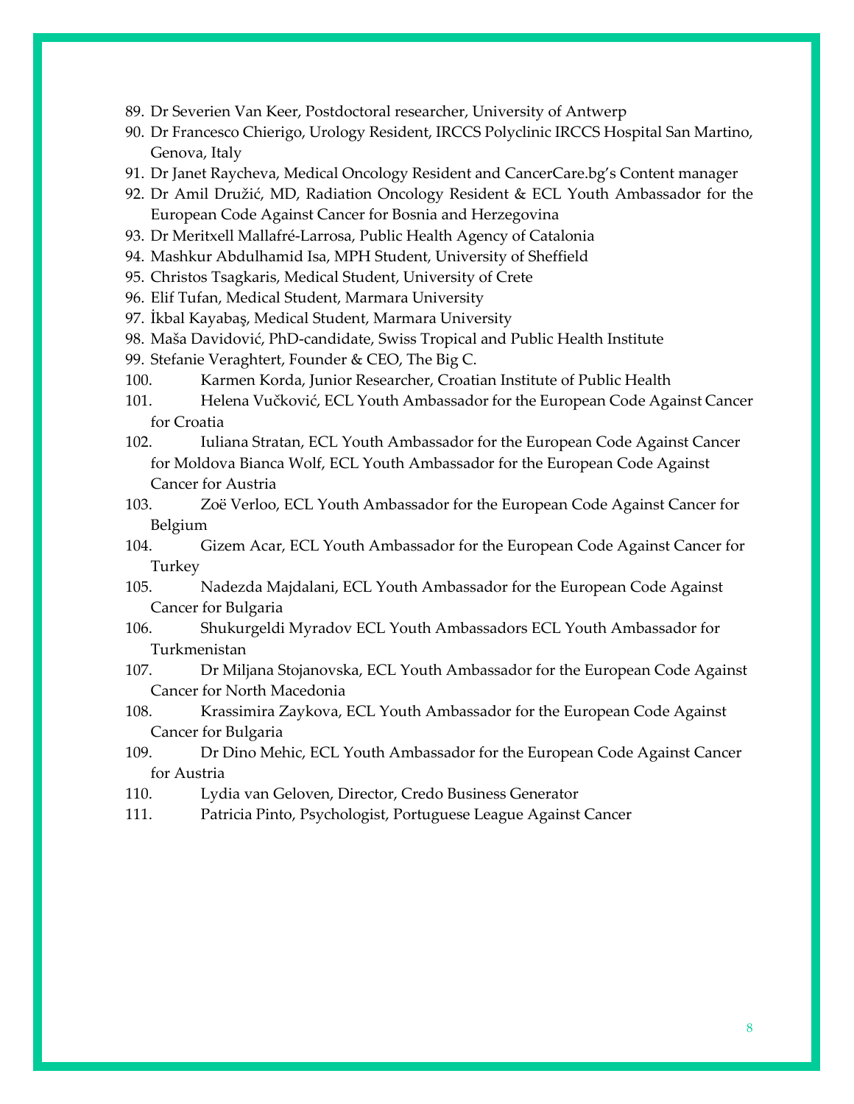- 89. Dr Severien Van Keer, Postdoctoral researcher, University of Antwerp
- 90. Dr Francesco Chierigo, Urology Resident, IRCCS Polyclinic IRCCS Hospital San Martino, Genova, Italy
- 91. Dr Janet Raycheva, Medical Oncology Resident and CancerCare.bg's Content manager
- 92. Dr Amil Družić, MD, Radiation Oncology Resident & ECL Youth Ambassador for the European Code Against Cancer for Bosnia and Herzegovina
- 93. Dr Meritxell Mallafré-Larrosa, Public Health Agency of Catalonia
- 94. Mashkur Abdulhamid Isa, MPH Student, University of Sheffield
- 95. Christos Tsagkaris, Medical Student, University of Crete
- 96. Elif Tufan, Medical Student, Marmara University
- 97. İkbal Kayabaş, Medical Student, Marmara University
- 98. Maša Davidović, PhD-candidate, Swiss Tropical and Public Health Institute
- 99. Stefanie Veraghtert, Founder & CEO, The Big C.
- 100. Karmen Korda, Junior Researcher, Croatian Institute of Public Health
- 101. Helena Vučković, ECL Youth Ambassador for the European Code Against Cancer for Croatia
- 102. Iuliana Stratan, ECL Youth Ambassador for the European Code Against Cancer for Moldova Bianca Wolf, ECL Youth Ambassador for the European Code Against Cancer for Austria
- 103. Zoë Verloo, ECL Youth Ambassador for the European Code Against Cancer for Belgium
- 104. Gizem Acar, ECL Youth Ambassador for the European Code Against Cancer for Turkey
- 105. Nadezda Majdalani, ECL Youth Ambassador for the European Code Against Cancer for Bulgaria
- 106. Shukurgeldi Myradov ECL Youth Ambassadors ECL Youth Ambassador for Turkmenistan
- 107. Dr Miljana Stojanovska, ECL Youth Ambassador for the European Code Against Cancer for North Macedonia
- 108. Krassimira Zaykova, ECL Youth Ambassador for the European Code Against Cancer for Bulgaria
- 109. Dr Dino Mehic, ECL Youth Ambassador for the European Code Against Cancer for Austria
- 110. Lydia van Geloven, Director, Credo Business Generator
- 111. Patricia Pinto, Psychologist, Portuguese League Against Cancer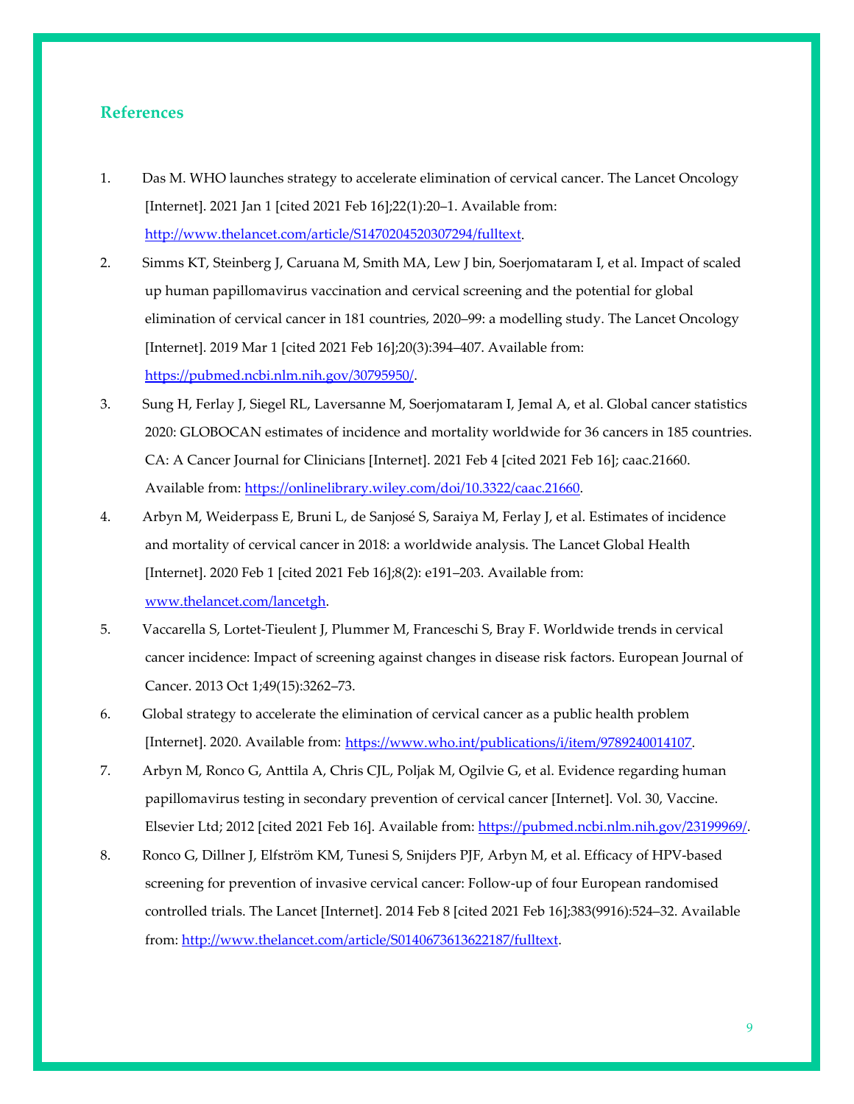### **References**

- 1. Das M. WHO launches strategy to accelerate elimination of cervical cancer. The Lancet Oncology [Internet]. 2021 Jan 1 [cited 2021 Feb 16];22(1):20–1. Available from: [http://www.thelancet.com/article/S1470204520307294/fulltext.](https://www.thelancet.com/journals/lanonc/article/PIIS1470-2045(20)30729-4/fulltext)
- 2. Simms KT, Steinberg J, Caruana M, Smith MA, Lew J bin, Soerjomataram I, et al. Impact of scaled up human papillomavirus vaccination and cervical screening and the potential for global elimination of cervical cancer in 181 countries, 2020–99: a modelling study. The Lancet Oncology [Internet]. 2019 Mar 1 [cited 2021 Feb 16];20(3):394–407. Available from: [https://pubmed.ncbi.nlm.nih.gov/30795950/.](https://pubmed.ncbi.nlm.nih.gov/30795950/)
- 3. Sung H, Ferlay J, Siegel RL, Laversanne M, Soerjomataram I, Jemal A, et al. Global cancer statistics 2020: GLOBOCAN estimates of incidence and mortality worldwide for 36 cancers in 185 countries. CA: A Cancer Journal for Clinicians [Internet]. 2021 Feb 4 [cited 2021 Feb 16]; caac.21660. Available from[: https://onlinelibrary.wiley.com/doi/10.3322/caac.21660.](https://onlinelibrary.wiley.com/doi/10.3322/caac.21660)
- 4. Arbyn M, Weiderpass E, Bruni L, de Sanjosé S, Saraiya M, Ferlay J, et al. Estimates of incidence and mortality of cervical cancer in 2018: a worldwide analysis. The Lancet Global Health [Internet]. 2020 Feb 1 [cited 2021 Feb 16];8(2): e191–203. Available from: [www.thelancet.com/lancetgh.](http://www.thelancet.com/lancetgh)
- 5. Vaccarella S, Lortet-Tieulent J, Plummer M, Franceschi S, Bray F. Worldwide trends in cervical cancer incidence: Impact of screening against changes in disease risk factors. European Journal of Cancer. 2013 Oct 1;49(15):3262–73.
- 6. Global strategy to accelerate the elimination of cervical cancer as a public health problem [Internet]. 2020. Available from: [https://www.who.int/publications/i/item/9789240014107.](https://www.who.int/publications/i/item/9789240014107)
- 7. Arbyn M, Ronco G, Anttila A, Chris CJL, Poljak M, Ogilvie G, et al. Evidence regarding human papillomavirus testing in secondary prevention of cervical cancer [Internet]. Vol. 30, Vaccine. Elsevier Ltd; 2012 [cited 2021 Feb 16]. Available from: [https://pubmed.ncbi.nlm.nih.gov/23199969/.](https://pubmed.ncbi.nlm.nih.gov/23199969/)
- 8. Ronco G, Dillner J, Elfström KM, Tunesi S, Snijders PJF, Arbyn M, et al. Efficacy of HPV-based screening for prevention of invasive cervical cancer: Follow-up of four European randomised controlled trials. The Lancet [Internet]. 2014 Feb 8 [cited 2021 Feb 16];383(9916):524–32. Available from: [http://www.thelancet.com/article/S0140673613622187/fulltext.](http://www.thelancet.com/article/S0140673613622187/fulltext)